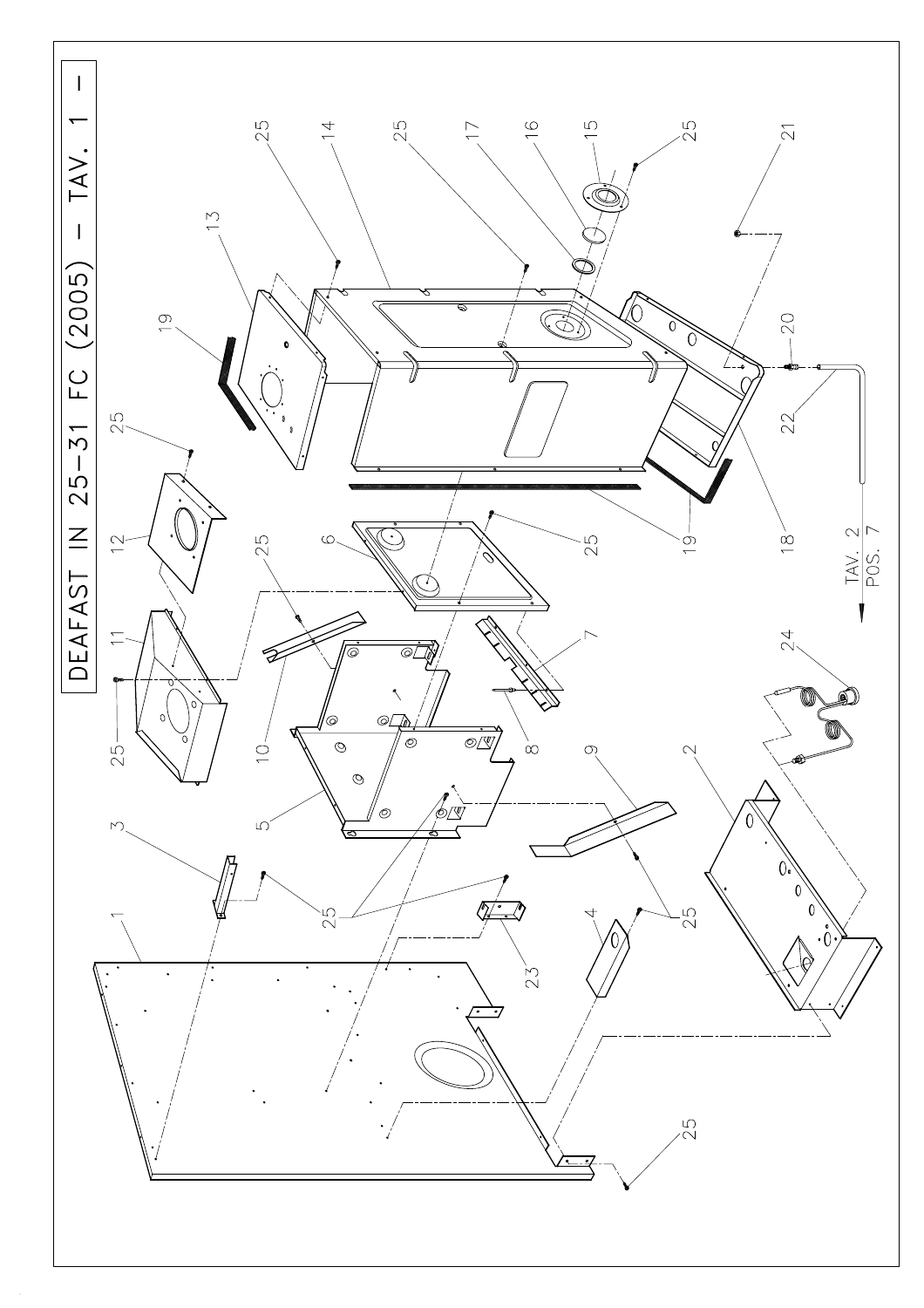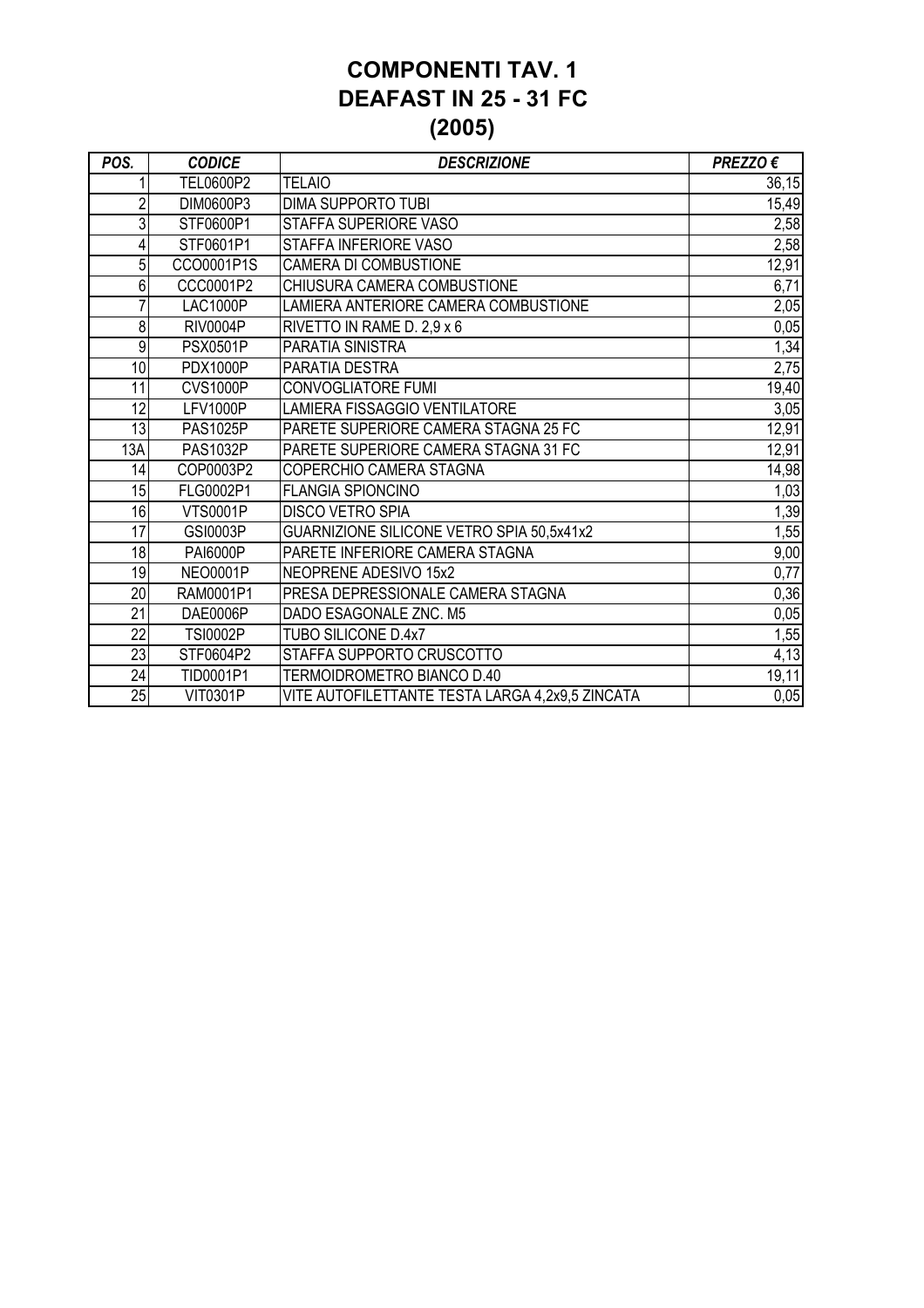#### **COMPONENTI TAV. 1 DEAFAST IN 25 - 31 FC (2005)**

| POS.            | <b>CODICE</b>   | <b>DESCRIZIONE</b>                              | PREZZO € |
|-----------------|-----------------|-------------------------------------------------|----------|
|                 | TEL0600P2       | <b>TELAIO</b>                                   | 36,15    |
| $\overline{2}$  | DIM0600P3       | <b>DIMA SUPPORTO TUBI</b>                       | 15,49    |
| 3               | STF0600P1       | STAFFA SUPERIORE VASO                           | 2,58     |
| 4               | STF0601P1       | STAFFA INFERIORE VASO                           | 2,58     |
| 5               | CCO0001P1S      | <b>CAMERA DI COMBUSTIONE</b>                    | 12,91    |
| 6               | CCC0001P2       | CHIUSURA CAMERA COMBUSTIONE                     | 6,71     |
|                 | <b>LAC1000P</b> | LAMIERA ANTERIORE CAMERA COMBUSTIONE            | 2,05     |
| 8               | <b>RIV0004P</b> | RIVETTO IN RAME D. 2,9 x 6                      | 0,05     |
| 9               | <b>PSX0501P</b> | PARATIA SINISTRA                                | 1,34     |
| 10              | <b>PDX1000P</b> | PARATIA DESTRA                                  | 2,75     |
| 11              | <b>CVS1000P</b> | <b>CONVOGLIATORE FUMI</b>                       | 19,40    |
| 12              | <b>LFV1000P</b> | LAMIERA FISSAGGIO VENTILATORE                   | 3,05     |
| 13              | <b>PAS1025P</b> | PARETE SUPERIORE CAMERA STAGNA 25 FC            | 12,91    |
| 13A             | <b>PAS1032P</b> | PARETE SUPERIORE CAMERA STAGNA 31 FC            | 12,91    |
| 14              | COP0003P2       | COPERCHIO CAMERA STAGNA                         | 14,98    |
| 15              | FLG0002P1       | <b>FLANGIA SPIONCINO</b>                        | 1,03     |
| 16              | <b>VTS0001P</b> | <b>DISCO VETRO SPIA</b>                         | 1,39     |
| 17              | GSI0003P        | GUARNIZIONE SILICONE VETRO SPIA 50,5x41x2       | 1,55     |
| 18              | <b>PAI6000P</b> | PARETE INFERIORE CAMERA STAGNA                  | 9,00     |
| 19              | <b>NEO0001P</b> | NEOPRENE ADESIVO 15x2                           | 0,77     |
| 20              | RAM0001P1       | PRESA DEPRESSIONALE CAMERA STAGNA               | 0,36     |
| 21              | DAE0006P        | DADO ESAGONALE ZNC. M5                          | 0,05     |
| 22              | <b>TSI0002P</b> | TUBO SILICONE D.4x7                             | 1,55     |
| $\overline{23}$ | STF0604P2       | STAFFA SUPPORTO CRUSCOTTO                       | 4,13     |
| 24              | TID0001P1       | TERMOIDROMETRO BIANCO D.40                      | 19,11    |
| 25              | <b>VIT0301P</b> | VITE AUTOFILETTANTE TESTA LARGA 4,2x9,5 ZINCATA | 0,05     |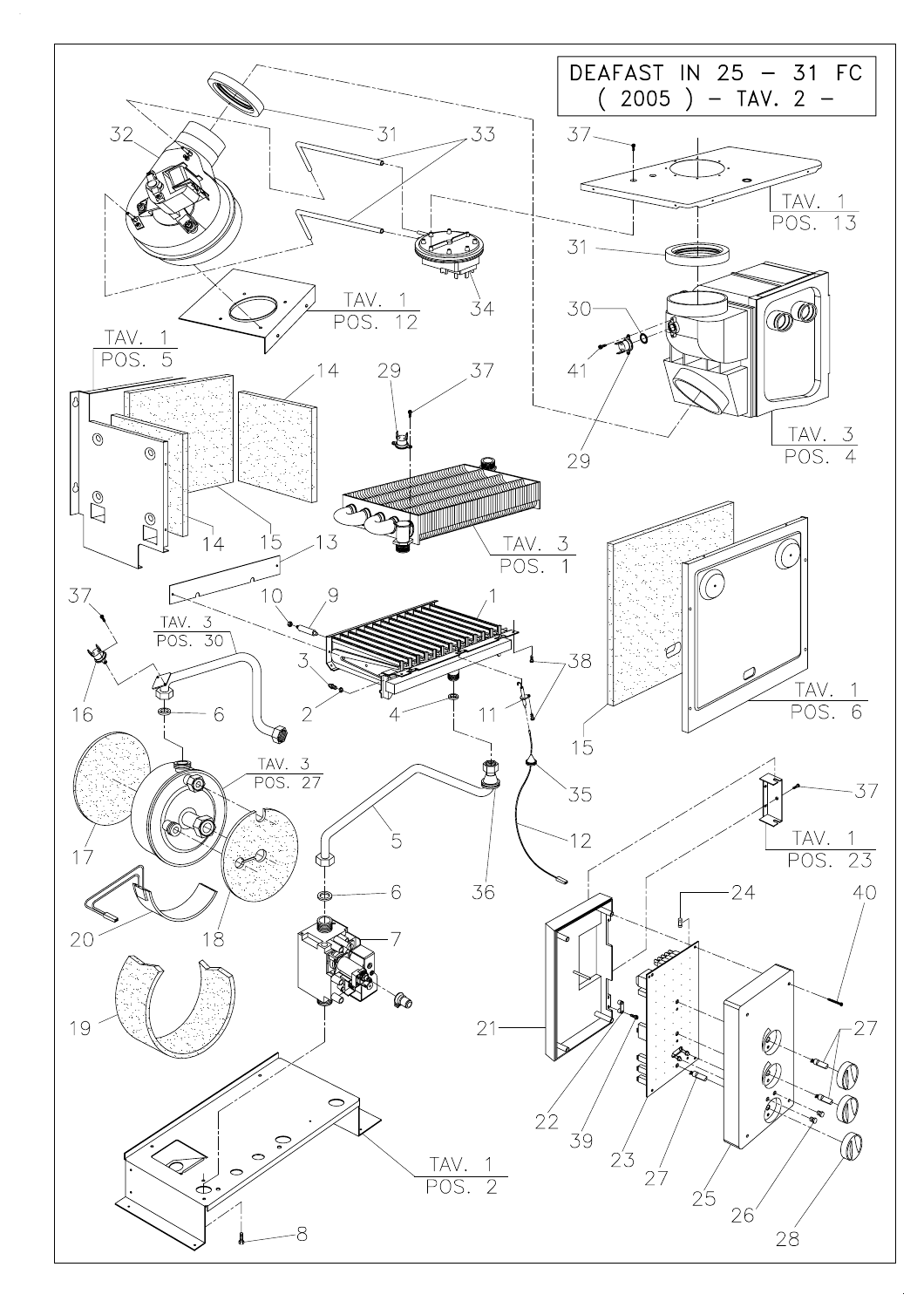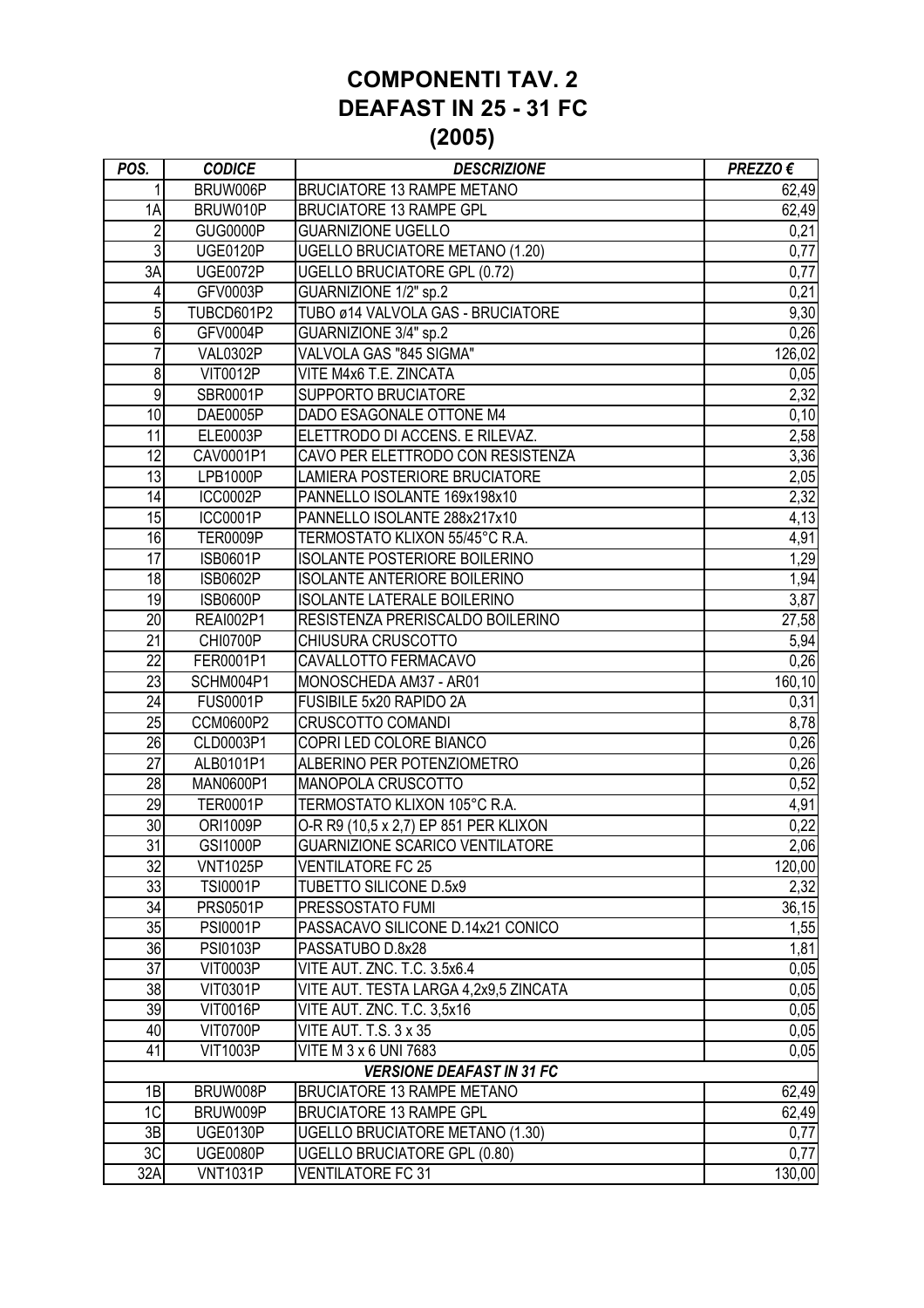#### **COMPONENTI TAV. 2 DEAFAST IN 25 - 31 FC (2005)**

| POS.                             | <b>CODICE</b>    | <b>DESCRIZIONE</b>                     | PREZZO € |
|----------------------------------|------------------|----------------------------------------|----------|
| 1                                | BRUW006P         | <b>BRUCIATORE 13 RAMPE METANO</b>      | 62,49    |
| 1A                               | BRUW010P         | <b>BRUCIATORE 13 RAMPE GPL</b>         | 62,49    |
| $\overline{2}$                   | <b>GUG0000P</b>  | <b>GUARNIZIONE UGELLO</b>              | 0,21     |
| 3                                | <b>UGE0120P</b>  | <b>UGELLO BRUCIATORE METANO (1.20)</b> | 0,77     |
| 3A                               | <b>UGE0072P</b>  | <b>UGELLO BRUCIATORE GPL (0.72)</b>    | 0,77     |
| 4                                | GFV0003P         | GUARNIZIONE 1/2" sp.2                  | 0,21     |
| 5                                | TUBCD601P2       | TUBO ø14 VALVOLA GAS - BRUCIATORE      | 9,30     |
| $\overline{6}$                   | GFV0004P         | GUARNIZIONE 3/4" sp.2                  | 0,26     |
| 7                                | <b>VAL0302P</b>  | VALVOLA GAS "845 SIGMA"                | 126,02   |
| 8                                | <b>VIT0012P</b>  | VITE M4x6 T.E. ZINCATA                 | 0,05     |
| 9                                | SBR0001P         | <b>SUPPORTO BRUCIATORE</b>             | 2,32     |
| 10                               | DAE0005P         | DADO ESAGONALE OTTONE M4               | 0,10     |
| 11                               | ELE0003P         | ELETTRODO DI ACCENS. E RILEVAZ.        | 2,58     |
| 12                               | CAV0001P1        | CAVO PER ELETTRODO CON RESISTENZA      | 3,36     |
| 13                               | LPB1000P         | LAMIERA POSTERIORE BRUCIATORE          | 2,05     |
| 14                               | <b>ICC0002P</b>  | PANNELLO ISOLANTE 169x198x10           | 2,32     |
| 15                               | <b>ICC0001P</b>  | PANNELLO ISOLANTE 288x217x10           | 4,13     |
| 16                               | <b>TER0009P</b>  | TERMOSTATO KLIXON 55/45°C R.A.         | 4,91     |
| $\overline{17}$                  | <b>ISB0601P</b>  | <b>ISOLANTE POSTERIORE BOILERINO</b>   | 1,29     |
| 18                               | <b>ISB0602P</b>  | <b>ISOLANTE ANTERIORE BOILERINO</b>    | 1,94     |
| 19                               | <b>ISB0600P</b>  | <b>ISOLANTE LATERALE BOILERINO</b>     | 3,87     |
| 20                               | <b>REAI002P1</b> | RESISTENZA PRERISCALDO BOILERINO       | 27,58    |
| 21                               | <b>CHI0700P</b>  | CHIUSURA CRUSCOTTO                     | 5,94     |
| 22                               | FER0001P1        | CAVALLOTTO FERMACAVO                   | 0,26     |
| 23                               | SCHM004P1        | MONOSCHEDA AM37 - AR01                 | 160,10   |
| 24                               | <b>FUS0001P</b>  | FUSIBILE 5x20 RAPIDO 2A                | 0,31     |
| 25                               | CCM0600P2        | <b>CRUSCOTTO COMANDI</b>               | 8,78     |
| $\overline{26}$                  | CLD0003P1        | COPRI LED COLORE BIANCO                | 0,26     |
| 27                               | ALB0101P1        | ALBERINO PER POTENZIOMETRO             | 0,26     |
| 28                               | MAN0600P1        | MANOPOLA CRUSCOTTO                     | 0,52     |
| 29                               | <b>TER0001P</b>  | TERMOSTATO KLIXON 105°C R.A.           | 4,91     |
| 30                               | <b>ORI1009P</b>  | O-R R9 (10,5 x 2,7) EP 851 PER KLIXON  | 0,22     |
| $\overline{31}$                  | <b>GSI1000P</b>  | <b>GUARNIZIONE SCARICO VENTILATORE</b> | 2,06     |
| 32                               | <b>VNT1025P</b>  | <b>VENTILATORE FC 25</b>               | 120,00   |
| 33                               | <b>TSI0001P</b>  | <b>TUBETTO SILICONE D.5x9</b>          | 2,32     |
| 34                               | <b>PRS0501P</b>  | PRESSOSTATO FUMI                       | 36,15    |
| 35                               | <b>PSI0001P</b>  | PASSACAVO SILICONE D.14x21 CONICO      | 1,55     |
| 36                               | <b>PSI0103P</b>  | PASSATUBO D.8x28                       | 1,81     |
| 37                               | <b>VIT0003P</b>  | VITE AUT. ZNC. T.C. 3.5x6.4            | 0,05     |
| 38                               | <b>VIT0301P</b>  | VITE AUT. TESTA LARGA 4,2x9,5 ZINCATA  | 0,05     |
| 39                               | <b>VIT0016P</b>  | VITE AUT. ZNC. T.C. 3,5x16             | 0,05     |
| 40                               | <b>VIT0700P</b>  | <b>VITE AUT. T.S. 3 x 35</b>           | 0,05     |
| 41                               | <b>VIT1003P</b>  | VITE M 3 x 6 UNI 7683                  | 0,05     |
| <b>VERSIONE DEAFAST IN 31 FC</b> |                  |                                        |          |
| 1B                               | BRUW008P         | <b>BRUCIATORE 13 RAMPE METANO</b>      | 62,49    |
| 1C                               | BRUW009P         | <b>BRUCIATORE 13 RAMPE GPL</b>         | 62,49    |
| 3B                               | <b>UGE0130P</b>  | UGELLO BRUCIATORE METANO (1.30)        | 0,77     |
| 3C                               | <b>UGE0080P</b>  | <b>UGELLO BRUCIATORE GPL (0.80)</b>    | 0,77     |
| 32A                              | <b>VNT1031P</b>  | <b>VENTILATORE FC 31</b>               | 130,00   |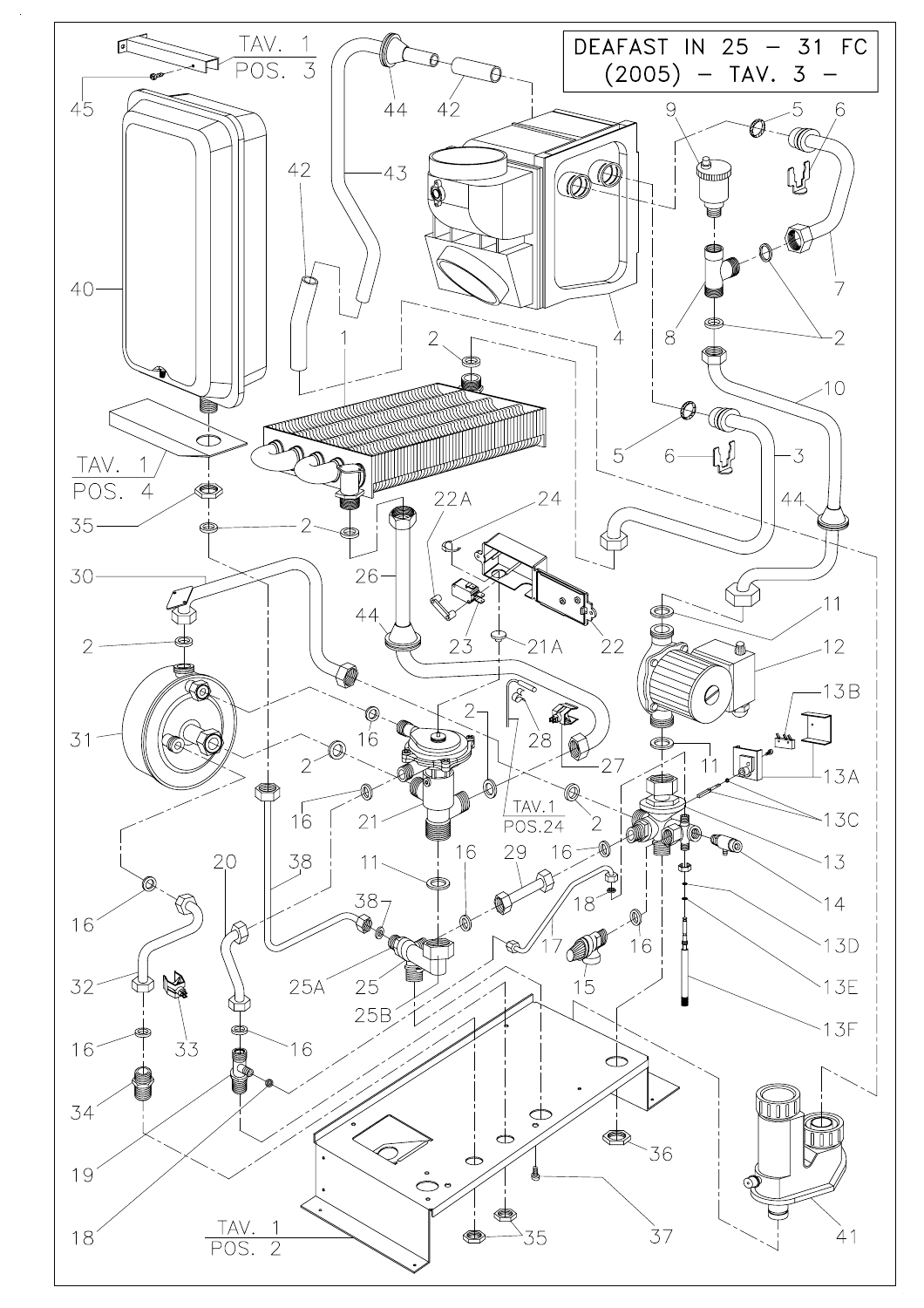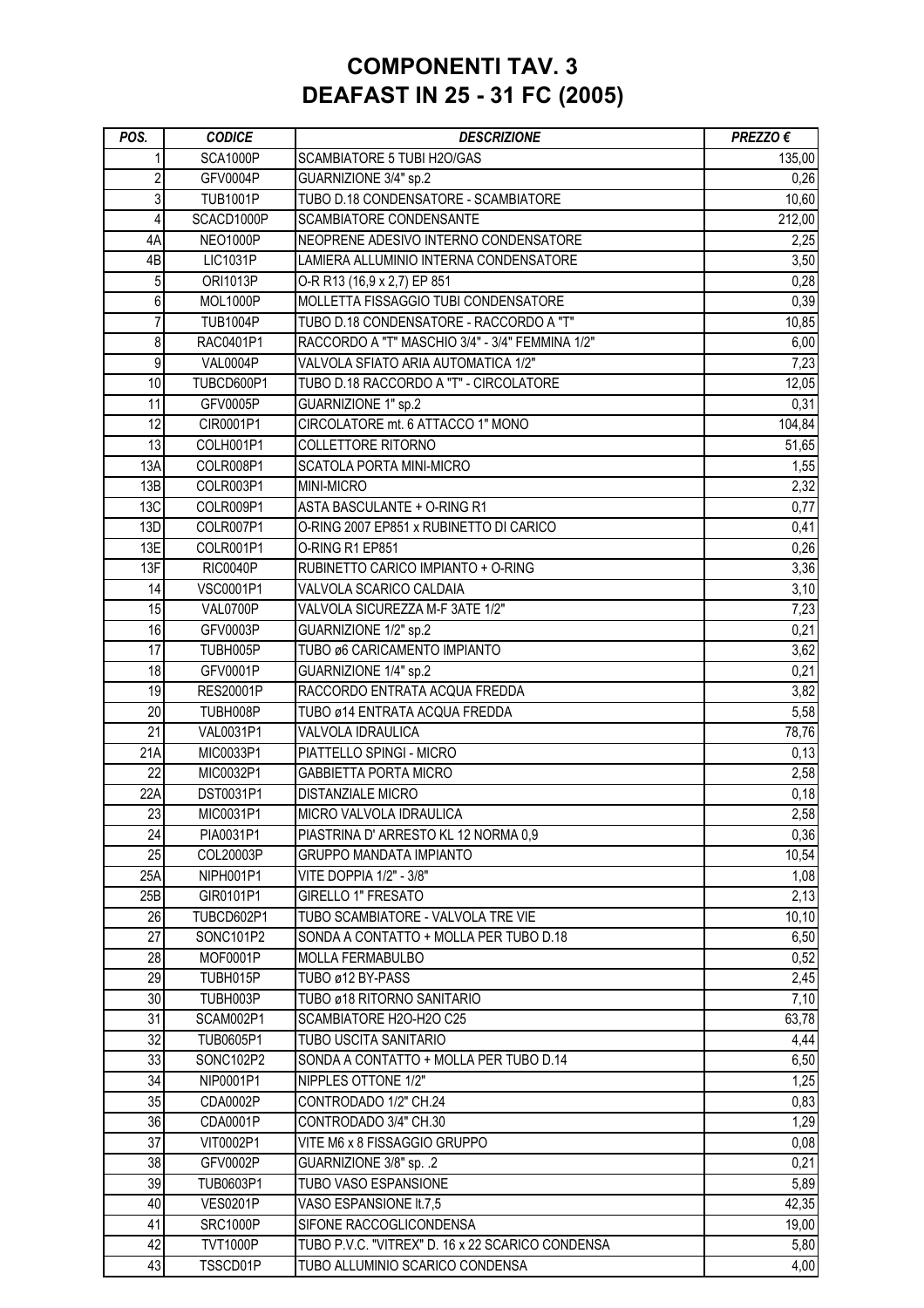# **COMPONENTI TAV. 3 DEAFAST IN 25 - 31 FC (2005)**

| POS.            | <b>CODICE</b>                      | <b>DESCRIZIONE</b>                                              | PREZZO €       |
|-----------------|------------------------------------|-----------------------------------------------------------------|----------------|
|                 | <b>SCA1000P</b>                    | SCAMBIATORE 5 TUBI H2O/GAS                                      | 135,00         |
| 2               | <b>GFV0004P</b>                    | GUARNIZIONE 3/4" sp.2                                           | 0,26           |
| 3               | <b>TUB1001P</b>                    | TUBO D.18 CONDENSATORE - SCAMBIATORE                            | 10,60          |
| 4               | SCACD1000P                         | SCAMBIATORE CONDENSANTE                                         | 212,00         |
| 4A              | <b>NEO1000P</b>                    | NEOPRENE ADESIVO INTERNO CONDENSATORE                           | 2,25           |
| 4B              | <b>LIC1031P</b>                    | LAMIERA ALLUMINIO INTERNA CONDENSATORE                          | 3,50           |
| 5               | <b>ORI1013P</b>                    | O-R R13 (16,9 x 2,7) EP 851                                     | 0,28           |
| 6               | <b>MOL1000P</b>                    | MOLLETTA FISSAGGIO TUBI CONDENSATORE                            | 0,39           |
| $\overline{7}$  | <b>TUB1004P</b>                    | TUBO D.18 CONDENSATORE - RACCORDO A "T"                         | 10,85          |
| 8               | RAC0401P1                          | RACCORDO A "T" MASCHIO 3/4" - 3/4" FEMMINA 1/2"                 | 6,00           |
| 9               | <b>VAL0004P</b>                    | VALVOLA SFIATO ARIA AUTOMATICA 1/2"                             | 7,23           |
| 10              | TUBCD600P1                         | TUBO D.18 RACCORDO A "T" - CIRCOLATORE                          | 12,05          |
| 11              | GFV0005P                           | GUARNIZIONE 1" sp.2                                             | 0,31           |
| 12              | CIR0001P1                          | CIRCOLATORE mt. 6 ATTACCO 1" MONO                               | 104,84         |
| $\overline{13}$ | COLH001P1                          | COLLETTORE RITORNO                                              | 51,65          |
| 13A             | COLR008P1                          | SCATOLA PORTA MINI-MICRO                                        | 1,55           |
| 13B             | COLR003P1                          | MINI-MICRO                                                      | 2,32           |
| 13C             | COLR009P1                          | ASTA BASCULANTE + O-RING R1                                     | 0,77           |
| 13D             | COLR007P1                          | O-RING 2007 EP851 x RUBINETTO DI CARICO                         | 0,41           |
| 13E             | COLR001P1                          | O-RING R1 EP851                                                 | 0,26           |
| 13F             | <b>RIC0040P</b>                    | RUBINETTO CARICO IMPIANTO + O-RING                              | 3,36           |
| 14              | <b>VSC0001P1</b>                   | VALVOLA SCARICO CALDAIA                                         | 3,10           |
| 15              | VAL0700P                           | VALVOLA SICUREZZA M-F 3ATE 1/2"                                 | 7,23           |
| 16              | GFV0003P                           | GUARNIZIONE 1/2" sp.2                                           | 0,21           |
| 17              | TUBH005P                           | TUBO ø6 CARICAMENTO IMPIANTO                                    | 3,62           |
| 18              | <b>GFV0001P</b>                    | GUARNIZIONE 1/4" sp.2                                           | 0,21           |
| 19              | <b>RES20001P</b>                   | RACCORDO ENTRATA ACQUA FREDDA                                   | 3,82           |
| 20              | TUBH008P                           | TUBO ø14 ENTRATA ACQUA FREDDA                                   | 5,58           |
| $\overline{21}$ | VAL0031P1                          | VALVOLA IDRAULICA                                               | 78,76          |
| 21A             | MIC0033P1                          | PIATTELLO SPINGI - MICRO                                        | 0,13           |
| 22              | MIC0032P1                          | <b>GABBIETTA PORTA MICRO</b>                                    | 2,58           |
| 22A             | DST0031P1                          | <b>DISTANZIALE MICRO</b>                                        | 0,18           |
| 23              | MIC0031P1                          | MICRO VALVOLA IDRAULICA                                         | 2,58           |
| 24              | PIA0031P1                          | PIASTRINA D'ARRESTO KL 12 NORMA 0,9                             | 0,36           |
| 25              |                                    |                                                                 | 10,54          |
| 25A             | COL20003P                          | <b>GRUPPO MANDATA IMPIANTO</b>                                  |                |
|                 | NIPH001P1                          | VITE DOPPIA 1/2" - 3/8"<br>GIRELLO 1" FRESATO                   | 1,08           |
| 25B<br>26       | GIR0101P1<br>TUBCD602P1            | TUBO SCAMBIATORE - VALVOLA TRE VIE                              | 2,13           |
| 27              |                                    | SONDA A CONTATTO + MOLLA PER TUBO D.18                          | 10, 10         |
| 28              | SONC101P2                          |                                                                 | 6,50           |
| 29              | MOF0001P                           | <b>MOLLA FERMABULBO</b>                                         | 0,52           |
| 30              | TUBH015P                           | TUBO ø12 BY-PASS<br>TUBO ø18 RITORNO SANITARIO                  | 2,45           |
| 31              | TUBH003P<br>SCAM002P1              | SCAMBIATORE H2O-H2O C25                                         | 7,10<br>63,78  |
| 32              |                                    |                                                                 |                |
| 33              | TUB0605P1<br>SONC102P2             | TUBO USCITA SANITARIO<br>SONDA A CONTATTO + MOLLA PER TUBO D.14 | 4,44<br>6,50   |
| 34              |                                    | NIPPLES OTTONE 1/2"                                             |                |
| 35              | NIP0001P1                          |                                                                 | 1,25           |
| 36              | CDA0002P                           | CONTRODADO 1/2" CH.24<br>CONTRODADO 3/4" CH.30                  | 0,83           |
|                 | CDA0001P                           |                                                                 | 1,29           |
| 37              | VIT0002P1                          | VITE M6 x 8 FISSAGGIO GRUPPO                                    | 0,08           |
| 38              | <b>GFV0002P</b>                    | GUARNIZIONE 3/8" sp. .2                                         | 0,21           |
| 39              | TUB0603P1                          | TUBO VASO ESPANSIONE                                            | 5,89           |
| 40<br>41        | <b>VES0201P</b><br><b>SRC1000P</b> | VASO ESPANSIONE It.7,5<br>SIFONE RACCOGLICONDENSA               | 42,35<br>19,00 |
|                 |                                    |                                                                 |                |
| 42              | <b>TVT1000P</b>                    | TUBO P.V.C. "VITREX" D. 16 x 22 SCARICO CONDENSA                | 5,80           |
| 43              | TSSCD01P                           | TUBO ALLUMINIO SCARICO CONDENSA                                 | 4,00           |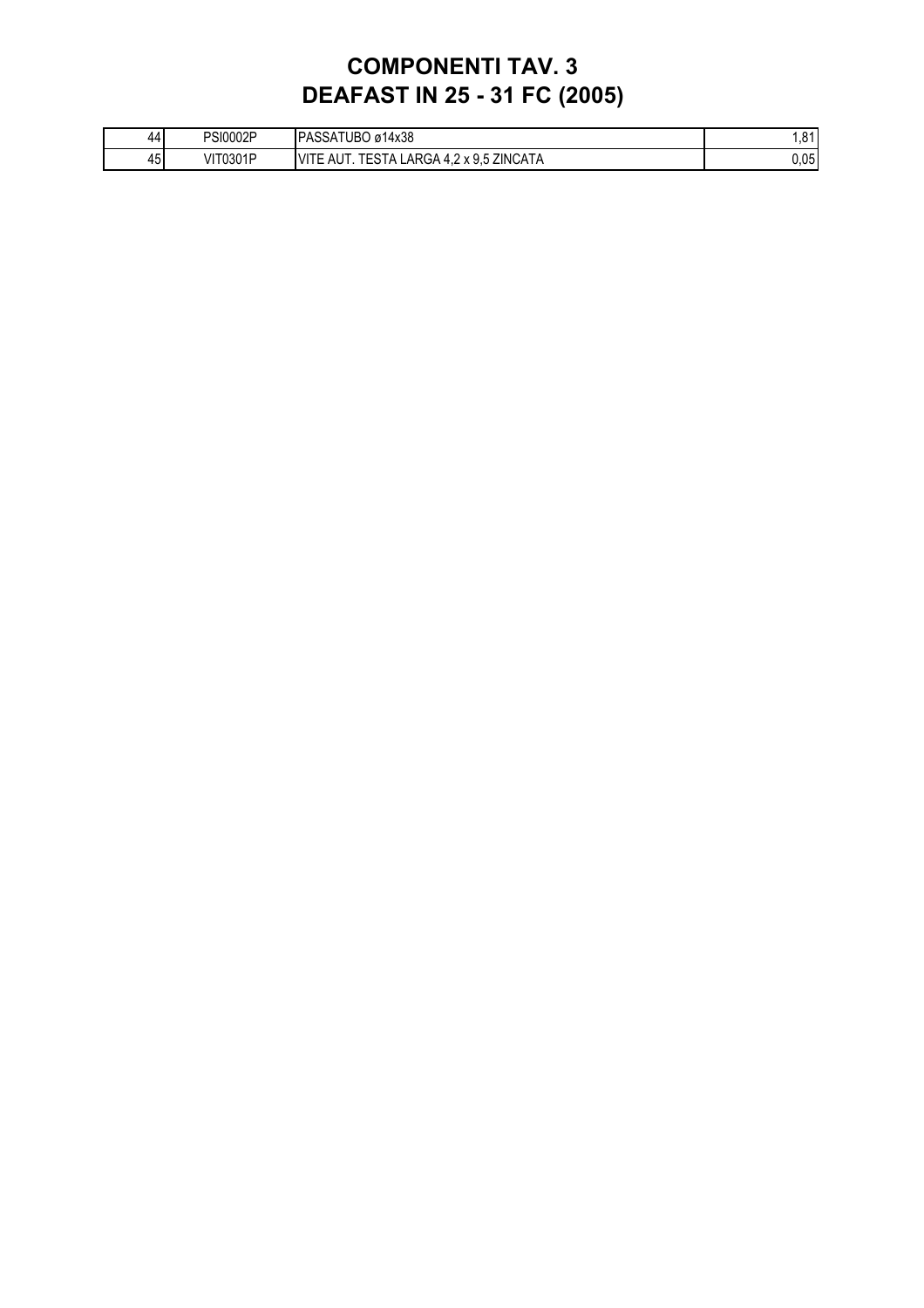# **COMPONENTI TAV. 3 DEAFAST IN 25 - 31 FC (2005)**

| 441 | <b>PSI0002P</b> | PASSATUBO ø14x38                                                                         | 0 <sub>4</sub><br>ا 0 |
|-----|-----------------|------------------------------------------------------------------------------------------|-----------------------|
| 45  | <b>VIT0301P</b> | ZINCATA<br><b>VITE</b><br>ΔI IT<br>LARGA 4.2<br>, v 0 5<br>. ⊢9 -<br>ESIA<br>nu<br>8 J.J | 0.05                  |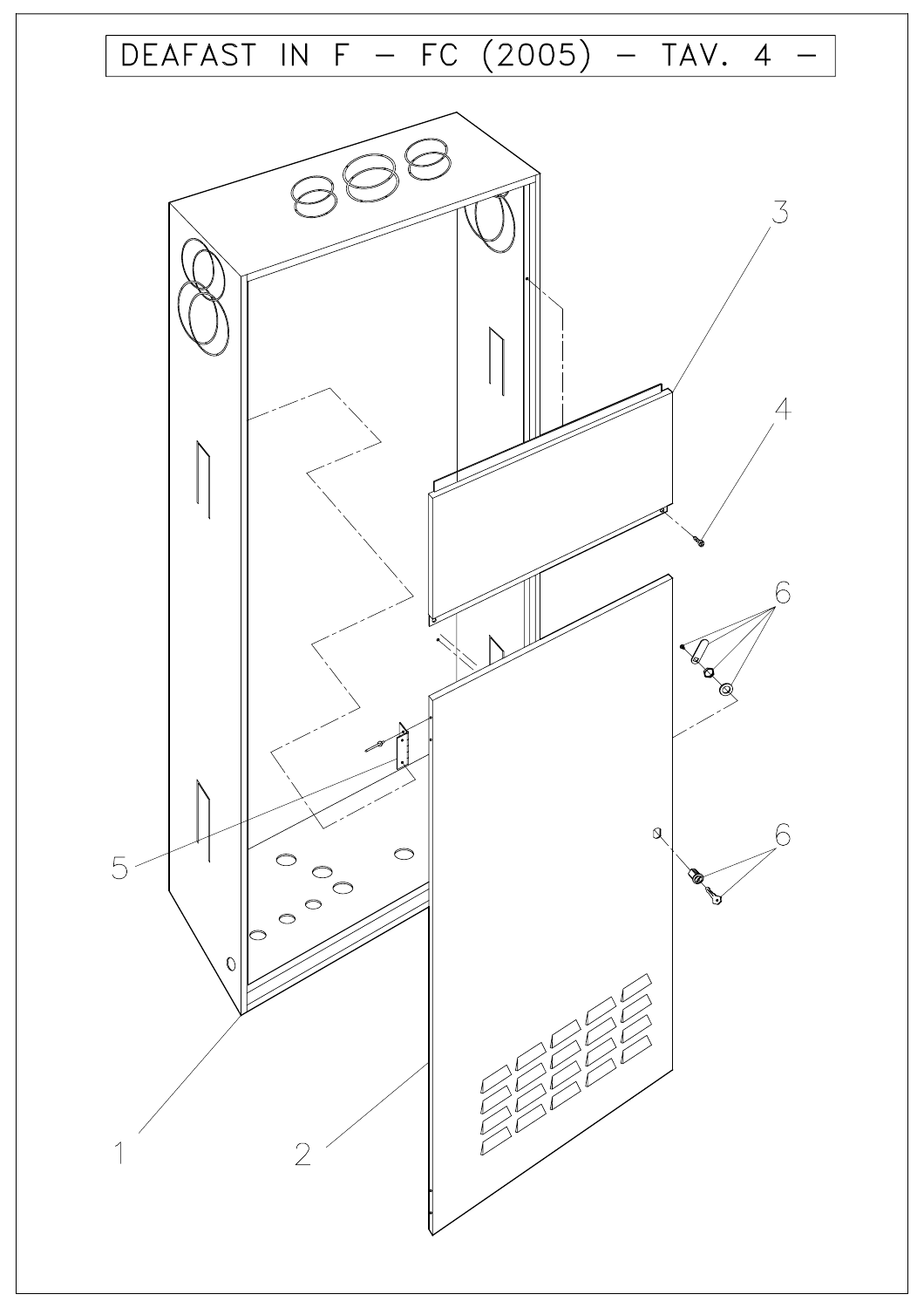